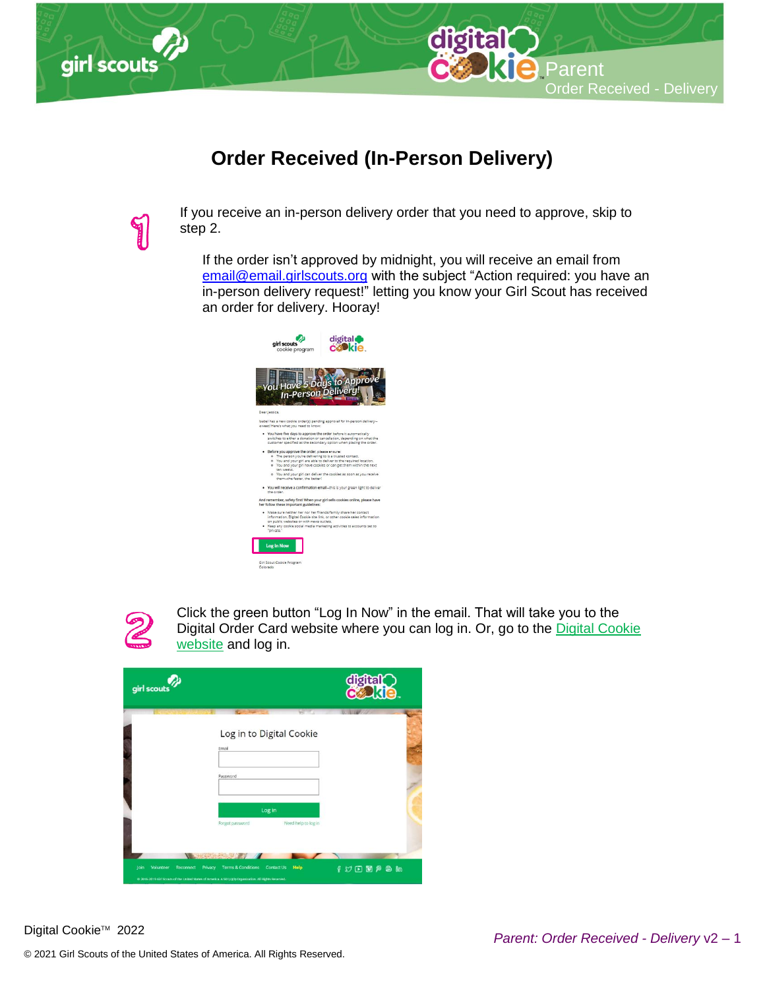

## **Order Received (In-Person Delivery)**



If you receive an in-person delivery order that you need to approve, skip to step 2.

If the order isn't approved by midnight, you will receive an email from [email@email.girlscouts.org](mailto:email@email.girlscouts.org) with the subject "Action required: you have an in-person delivery request!" letting you know your Girl Scout has received an order for delivery. Hooray!

| airl scouts<br>cookie program                                                                                                                                                                                                                                    | digital<br><b>CARRIS</b> |
|------------------------------------------------------------------------------------------------------------------------------------------------------------------------------------------------------------------------------------------------------------------|--------------------------|
| In-Person Deliver                                                                                                                                                                                                                                                | dys to Approv            |
| Dear jessica,                                                                                                                                                                                                                                                    |                          |
| isabel has a new cookie order(s) pending approval for in-person delivery-<br>eweet! Here's what you need to know:                                                                                                                                                |                          |
| . You have five days to approve the order before it automatically<br>switches to either a donation or cancellation, depending on what the<br>customer specified as the secondary option when placing the order.                                                  |                          |
| · Before you approve the order, please ensure:                                                                                                                                                                                                                   |                          |
| o The person you're delivering to is a trusted contact.<br>o You and your girl are able to deliver to the required location.                                                                                                                                     |                          |
| o You and your girl have cookies or can get them within the next                                                                                                                                                                                                 |                          |
| ten weeks.<br>o You and your girl can deliver the cookies as soon as you receive<br>them-the faster, the better!                                                                                                                                                 |                          |
| You will receive a confirmation email-chis is your green light to deliver<br>the order.                                                                                                                                                                          |                          |
| And remember, safety first! When your girl sells cookies online, please have<br>her follow these important guidelines:                                                                                                                                           |                          |
| . Make sure neither her nor her friends/family share her contact<br>information. Digital Cookie site link, or other cookie sales information<br>on public websites or with news outlets.<br>Keep any cookie social media marketing activities to accounts set to |                          |
| "private."                                                                                                                                                                                                                                                       |                          |
| <b>Log In Now</b>                                                                                                                                                                                                                                                |                          |
| Girl Scout Cookie Program<br>Colorado                                                                                                                                                                                                                            |                          |



Click the green button "Log In Now" in the email. That will take you to the Digital Order Card website where you can log in. Or, go to the [Digital Cookie](https://digitalcookie.girlscouts.org/login)  [website](https://digitalcookie.girlscouts.org/login) and log in.

| girl scouts                    |                                                                                                                                                                                         | digital <sup>®</sup>         |
|--------------------------------|-----------------------------------------------------------------------------------------------------------------------------------------------------------------------------------------|------------------------------|
|                                | Log in to Digital Cookie                                                                                                                                                                |                              |
|                                | Email<br>Password                                                                                                                                                                       |                              |
|                                | Log in                                                                                                                                                                                  |                              |
|                                | Forgot password<br>Need help to log in<br><b>SHE KITCHER AND THE COMPANY</b>                                                                                                            |                              |
| Volunteer<br>Reconnect<br>Join | <b>Terms &amp; Conditions</b><br><b>Contact Us</b><br>Privacy<br><b>Help</b><br>@ 2016-2019 Girl Scouts of the United States of America. A 501(c)(3) Organization. All Rights Reserved. | $f$ <i>v</i> $F$ $g$ $g$ $h$ |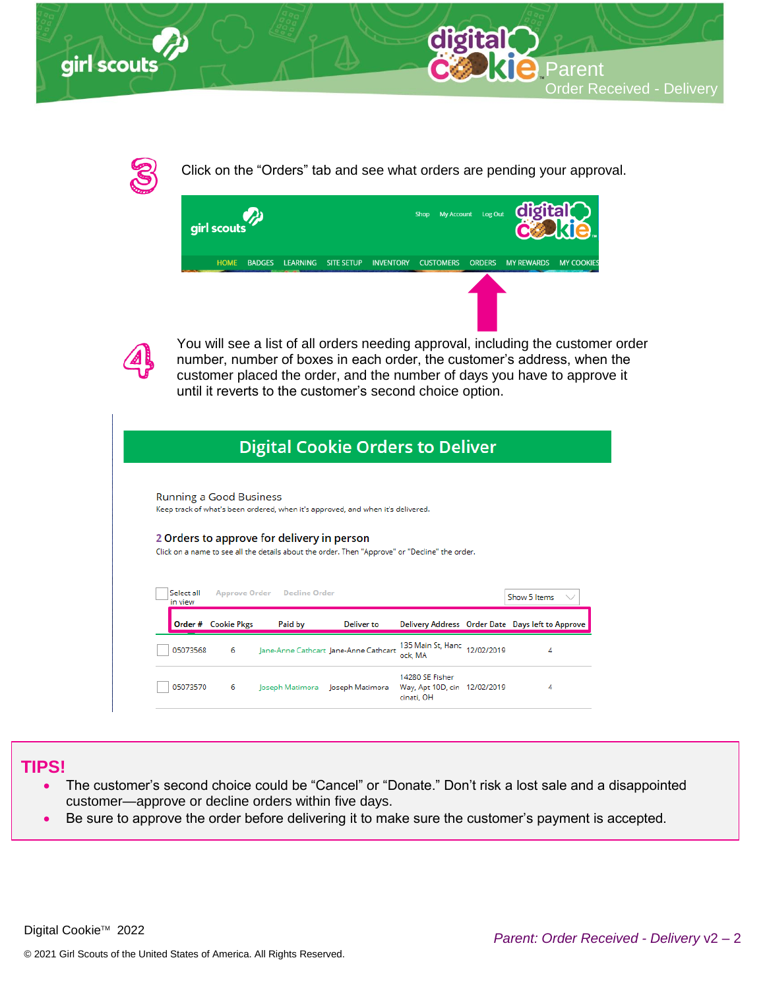



Click on the "Orders" tab and see what orders are pending your approval.





You will see a list of all orders needing approval, including the customer order number, number of boxes in each order, the customer's address, when the customer placed the order, and the number of days you have to approve it until it reverts to the customer's second choice option.

| <b>Digital Cookie Orders to Deliver</b> |  |  |  |
|-----------------------------------------|--|--|--|

**Running a Good Business** Keep track of what's been ordered, when it's approved, and when it's delivered.

## 2 Orders to approve for delivery in person

Click on a name to see all the details about the order. Then "Approve" or "Decline" the order.

| Select all<br>in view |                     | Approve Order Decline Order |                                       |                                                               |            | Show 5 Items                                     |
|-----------------------|---------------------|-----------------------------|---------------------------------------|---------------------------------------------------------------|------------|--------------------------------------------------|
|                       | Order # Cookie Pkgs | Paid by                     | Deliver to                            |                                                               |            | Delivery Address Order Date Days left to Approve |
| 05073568              | 6                   |                             | Jane-Anne Cathcart Jane-Anne Cathcart | 135 Main St, Hanc<br>ock. MA                                  | 12/02/2019 | 4                                                |
| 05073570              | 6                   | Joseph Matimora             | Joseph Matimora                       | 14280 SE Fisher<br>Way, Apt 10D, cin 12/02/2019<br>cinati, OH |            | 4                                                |

## **TIPS!**

- The customer's second choice could be "Cancel" or "Donate." Don't risk a lost sale and a disappointed customer—approve or decline orders within five days.
- Be sure to approve the order before delivering it to make sure the customer's payment is accepted.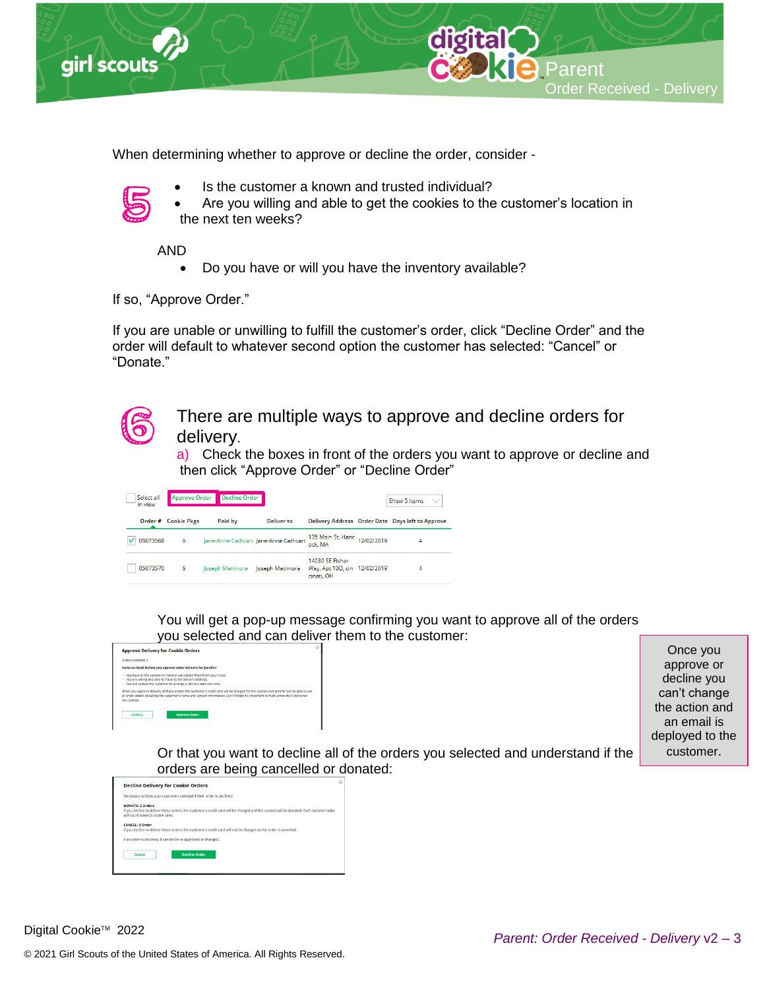

When determining whether to approve or decline the order, consider -



- Is the customer a known and trusted individual?
- Are you willing and able to get the cookies to the customer's location in the next ten weeks?

AND

• Do you have or will you have the inventory available?

If so, "Approve Order."

If you are unable or unwilling to fulfill the customer's order, click "Decline Order" and the order will default to whatever second option the customer has selected: "Cancel" or "Donate."



There are multiple ways to approve and decline orders for delivery.

a) Check the boxes in front of the orders you want to approve or decline and then click "Approve Order" or "Decline Order"



You will get a pop-up message confirming you want to approve all of the orders you selected and can deliver them to the customer:

| <b>Approve Delivery for Cookie Orders</b>                                                                                                                                                                                                                                                   |  |
|---------------------------------------------------------------------------------------------------------------------------------------------------------------------------------------------------------------------------------------------------------------------------------------------|--|
| Orders selected: 2                                                                                                                                                                                                                                                                          |  |
| Items to check before you approve order delivery for Jennifer:                                                                                                                                                                                                                              |  |
| . You have all the cookies on hand or can obtain them from your troco.<br>. You are willing and able to travel to the delivery address.<br>. You will contact the customer to arrange a delivery date and time.                                                                             |  |
| When you approve delivery of these orders, the customer's credit card will be charged for the cookies and Jennifer will be able to see<br>all order details including the customer's name and contact information. Don't forget it's important to mark when she's delivered<br>the cookiest |  |
| <b>Approve Order</b><br><b>CANCEL</b>                                                                                                                                                                                                                                                       |  |

Once you approve or decline you can't change the action and an email is deployed to the customer.

Or that you want to decline all of the orders you selected and understand if the orders are being cancelled or donated:

| <b>Decline Delivery for Cookie Orders</b>                                                                                                                  |  |
|------------------------------------------------------------------------------------------------------------------------------------------------------------|--|
| Secondary options your customers selected if their order is declined:                                                                                      |  |
| DONATE: 2 Orders<br>If you decline to deliver these orders, the customer's credit card will be charged and the cookies will be donated. Each donated order |  |
| will count towards cookie sales.                                                                                                                           |  |
| CANCEL: 0 Order<br>If you decline to deliver these orders, the customer's credit card will not be charged as the order is cancelled.                       |  |
| If an order is declined, it cannot be re-approved or changed.                                                                                              |  |
|                                                                                                                                                            |  |
| <b>Decline Order</b><br>Cancel                                                                                                                             |  |
|                                                                                                                                                            |  |
|                                                                                                                                                            |  |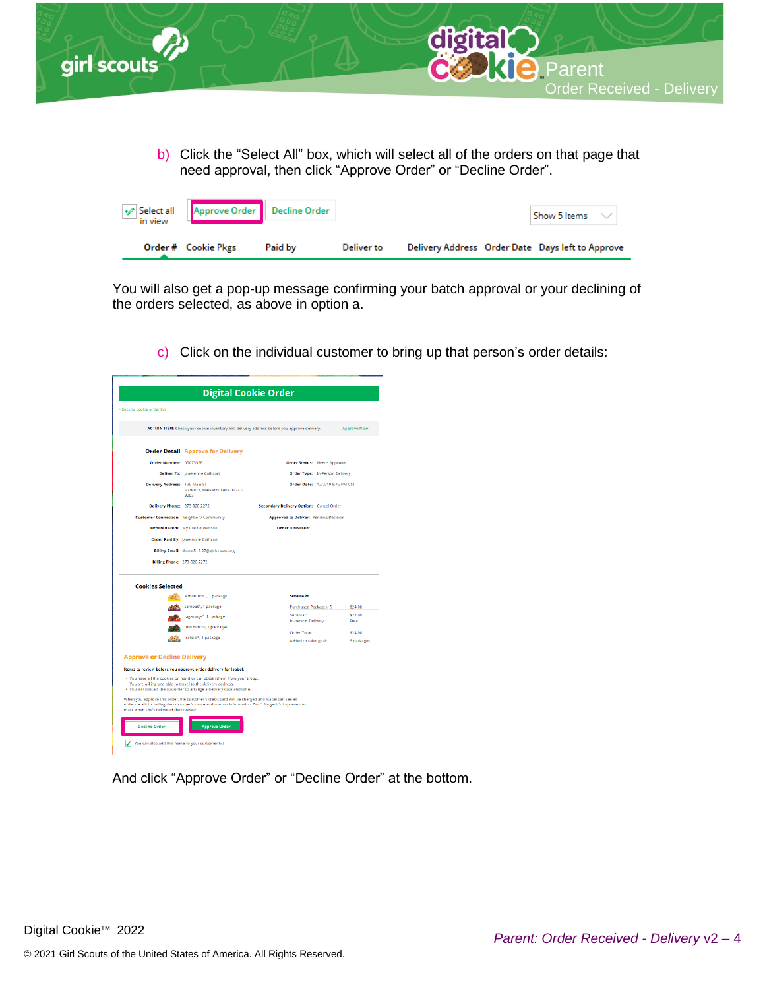

b) Click the "Select All" box, which will select all of the orders on that page that need approval, then click "Approve Order" or "Decline Order".



You will also get a pop-up message confirming your batch approval or your declining of the orders selected, as above in option a.

c) Click on the individual customer to bring up that person's order details:

|                                                               | <b>Digital Cookie Order</b>                                                                                                                                                                           |                                                                                            |                    |
|---------------------------------------------------------------|-------------------------------------------------------------------------------------------------------------------------------------------------------------------------------------------------------|--------------------------------------------------------------------------------------------|--------------------|
| < Back to cookie order list                                   |                                                                                                                                                                                                       |                                                                                            |                    |
|                                                               |                                                                                                                                                                                                       |                                                                                            |                    |
|                                                               |                                                                                                                                                                                                       | ACTION ITEM: Check your cookie inventory and delivery address before you approve delivery. | <b>Approve Now</b> |
|                                                               | <b>Order Detail</b> Approve for Delivery                                                                                                                                                              |                                                                                            |                    |
| Order Number: 05073568                                        |                                                                                                                                                                                                       | <b>Order Status: Needs Approval</b>                                                        |                    |
|                                                               | Deliver To: Jane-Anne Cathcart                                                                                                                                                                        | Order Type: In-Person Delivery                                                             |                    |
| Delivery Address: 135 Main St                                 | Hancock, Massachusetts 01237-<br>9203                                                                                                                                                                 | Order Date: 12/2/19 8:45 PM CST                                                            |                    |
| Delivery Phone: 273-820-2272                                  |                                                                                                                                                                                                       | Secondary Delivery Option: Cancel Order                                                    |                    |
| <b>Customer Connection: Neighbor / Community</b>              |                                                                                                                                                                                                       | <b>Approved to Deliver: Pending Decision</b>                                               |                    |
|                                                               | <b>Ordered From: My Cookie Website</b>                                                                                                                                                                | <b>Order Delivered:</b>                                                                    |                    |
|                                                               | Order Paid By: Jane-Anne Cathcart                                                                                                                                                                     |                                                                                            |                    |
|                                                               | Billing Email: dctest512-27@girlscouts.org                                                                                                                                                            |                                                                                            |                    |
| <b>Billing Phone: 273-820-2272</b>                            |                                                                                                                                                                                                       |                                                                                            |                    |
| <b>Cookies Selected</b>                                       |                                                                                                                                                                                                       |                                                                                            |                    |
|                                                               | lemon-ups", 1 package                                                                                                                                                                                 | <b>SUMMARY</b>                                                                             |                    |
|                                                               | samoas <sup>®</sup> , 1 package                                                                                                                                                                       | <b>Purchased Packages: 6</b>                                                               | \$24.00            |
|                                                               | tagalongs <sup>®</sup> , 1 package                                                                                                                                                                    | Subtotal:<br>In-person Delivery:                                                           | \$24.00<br>Free    |
|                                                               | thin mints*, 2 packages                                                                                                                                                                               | <b>Order Total:</b>                                                                        | \$24.00            |
| 938                                                           | trefoils*, 1 package                                                                                                                                                                                  | Added to sales goal:                                                                       | 6 packages         |
| <b>Approve or Decline Delivery</b>                            |                                                                                                                                                                                                       |                                                                                            |                    |
|                                                               | Items to review before you approve order delivery for Isabel:                                                                                                                                         |                                                                                            |                    |
| . You are willing and able to travel to the delivery address. | . You have all the cookies on hand or can obtain them from your troop.<br>. You will contact the customer to arrange a delivery date and time.                                                        |                                                                                            |                    |
| mark when she's delivered the cookies!                        | When you approve this order, the customer's credit card will be charged and Isabel can see all<br>order details including the customer's name and contact information. Don't forget it's important to |                                                                                            |                    |
| <b>Decline Order</b>                                          | <b>Approve Order</b>                                                                                                                                                                                  |                                                                                            |                    |
|                                                               |                                                                                                                                                                                                       |                                                                                            |                    |

And click "Approve Order" or "Decline Order" at the bottom.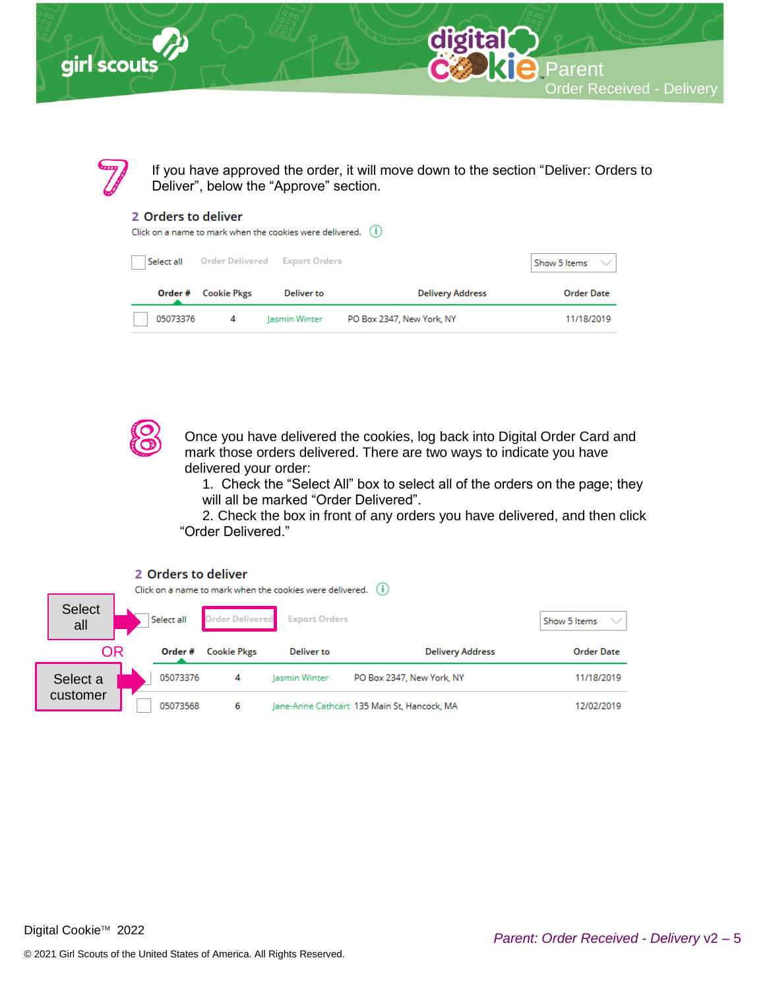

If you have approved the order, it will move down to the section "Deliver: Orders to Deliver", below the "Approve" section.

## 2 Orders to deliver

|            |                            | Click on a name to mark when the cookies were delivered. $(i)$ |                           |                   |
|------------|----------------------------|----------------------------------------------------------------|---------------------------|-------------------|
| Select all |                            | <b>Order Delivered</b> Export Orders                           |                           | Show 5 Items      |
|            | <b>Order # Cookie Pkgs</b> | Deliver to                                                     | <b>Delivery Address</b>   | <b>Order Date</b> |
| 05073376   | 4                          | Jasmin Winter                                                  | PO Box 2347, New York, NY | 11/18/2019        |



Once you have delivered the cookies, log back into Digital Order Card and mark those orders delivered. There are two ways to indicate you have delivered your order:

1. Check the "Select All" box to select all of the orders on the page; they will all be marked "Order Delivered".

2. Check the box in front of any orders you have delivered, and then click "Order Delivered."

|                      | 2 Orders to deliver |                    | Click on a name to mark when the cookies were delivered. $(i)$ |                                             |                   |
|----------------------|---------------------|--------------------|----------------------------------------------------------------|---------------------------------------------|-------------------|
| <b>Select</b><br>all | Select all          | rder Delivered     | <b>Export Orders</b>                                           |                                             | Show 5 Items      |
| OR                   | Order #             | <b>Cookie Pkgs</b> | Deliver to                                                     | <b>Delivery Address</b>                     | <b>Order Date</b> |
| Select a             | 05073376            | 4                  | lasmin Winter                                                  | PO Box 2347, New York, NY                   | 11/18/2019        |
| customer             | 05073568            | 6                  |                                                                | Jane-Anne Cathcart 135 Main St. Hancock, MA | 12/02/2019        |